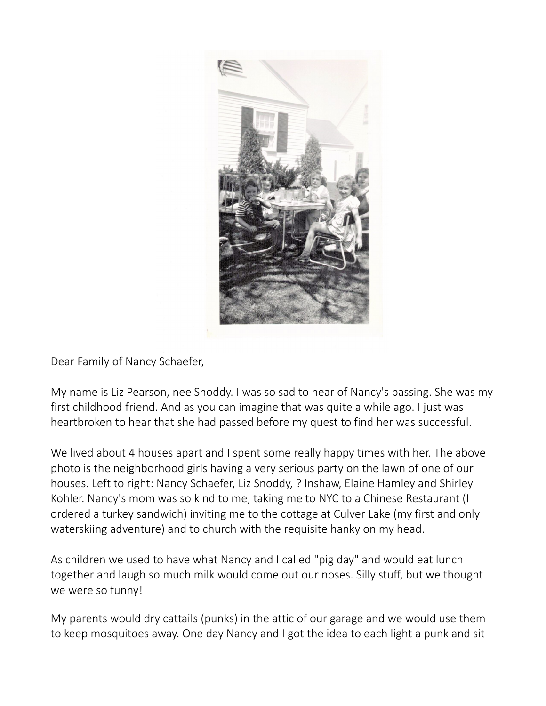

Dear Family of Nancy Schaefer,

My name is Liz Pearson, nee Snoddy. I was so sad to hear of Nancy's passing. She was my first childhood friend. And as you can imagine that was quite a while ago. I just was heartbroken to hear that she had passed before my quest to find her was successful.

We lived about 4 houses apart and I spent some really happy times with her. The above photo is the neighborhood girls having a very serious party on the lawn of one of our houses. Left to right: Nancy Schaefer, Liz Snoddy, ? Inshaw, Elaine Hamley and Shirley Kohler. Nancy's mom was so kind to me, taking me to NYC to a Chinese Restaurant (I ordered a turkey sandwich) inviting me to the cottage at Culver Lake (my first and only waterskiing adventure) and to church with the requisite hanky on my head.

As children we used to have what Nancy and I called "pig day" and would eat lunch together and laugh so much milk would come out our noses. Silly stuff, but we thought we were so funny!

My parents would dry cattails (punks) in the attic of our garage and we would use them to keep mosquitoes away. One day Nancy and I got the idea to each light a punk and sit